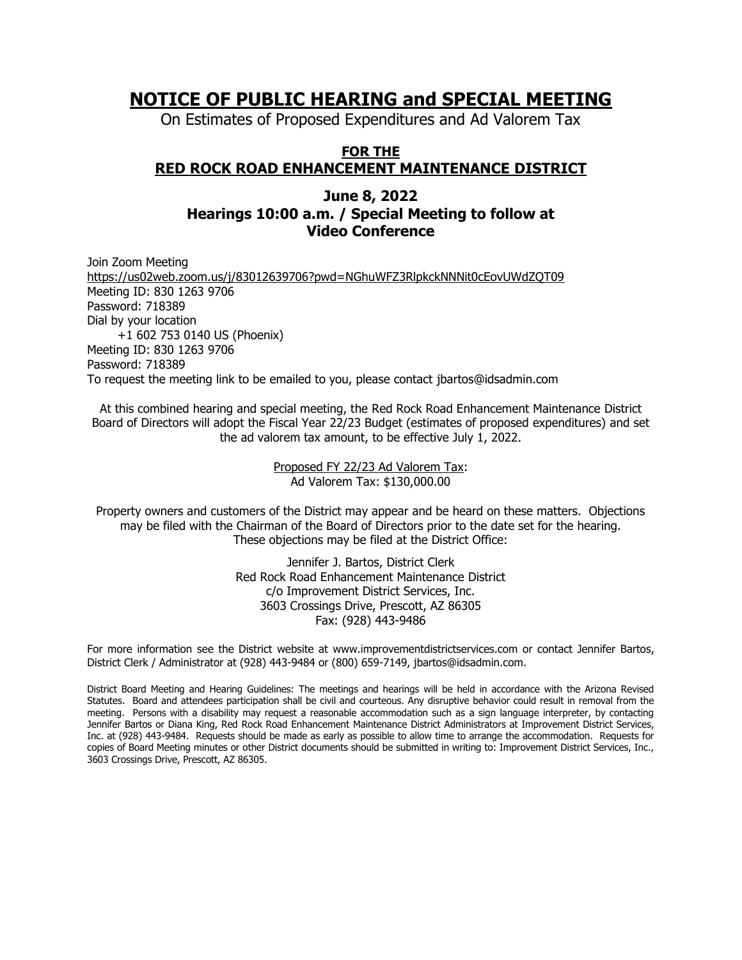# **NOTICE OF PUBLIC HEARING and SPECIAL MEETING**

On Estimates of Proposed Expenditures and Ad Valorem Tax

## **FOR THE RED ROCK ROAD ENHANCEMENT MAINTENANCE DISTRICT**

### **June 8, 2022 Hearings 10:00 a.m. / Special Meeting to follow at Video Conference**

Join Zoom Meeting <https://us02web.zoom.us/j/83012639706?pwd=NGhuWFZ3RlpkckNNNit0cEovUWdZQT09> Meeting ID: 830 1263 9706 Password: 718389 Dial by your location +1 602 753 0140 US (Phoenix) Meeting ID: 830 1263 9706 Password: 718389 To request the meeting link to be emailed to you, please contact jbartos@idsadmin.com

At this combined hearing and special meeting, the Red Rock Road Enhancement Maintenance District Board of Directors will adopt the Fiscal Year 22/23 Budget (estimates of proposed expenditures) and set the ad valorem tax amount, to be effective July 1, 2022.

> Proposed FY 22/23 Ad Valorem Tax: Ad Valorem Tax: \$130,000.00

Property owners and customers of the District may appear and be heard on these matters. Objections may be filed with the Chairman of the Board of Directors prior to the date set for the hearing. These objections may be filed at the District Office:

> Jennifer J. Bartos, District Clerk Red Rock Road Enhancement Maintenance District c/o Improvement District Services, Inc. 3603 Crossings Drive, Prescott, AZ 86305 Fax: (928) 443-9486

For more information see the District website at www.improvementdistrictservices.com or contact Jennifer Bartos, District Clerk / Administrator at (928) 443-9484 or (800) 659-7149, jbartos@idsadmin.com.

District Board Meeting and Hearing Guidelines: The meetings and hearings will be held in accordance with the Arizona Revised Statutes. Board and attendees participation shall be civil and courteous. Any disruptive behavior could result in removal from the meeting. Persons with a disability may request a reasonable accommodation such as a sign language interpreter, by contacting Jennifer Bartos or Diana King, Red Rock Road Enhancement Maintenance District Administrators at Improvement District Services, Inc. at (928) 443-9484. Requests should be made as early as possible to allow time to arrange the accommodation. Requests for copies of Board Meeting minutes or other District documents should be submitted in writing to: Improvement District Services, Inc., 3603 Crossings Drive, Prescott, AZ 86305.